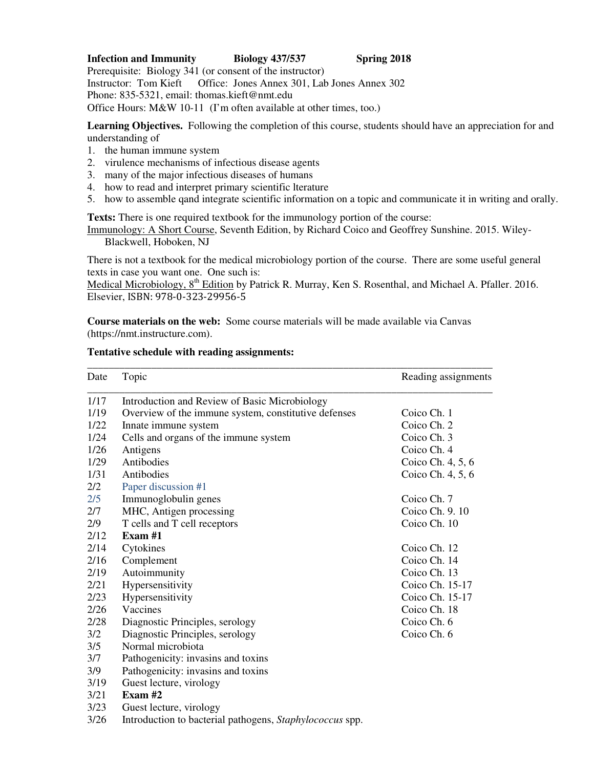# **Infection and Immunity Biology 437/537 Spring 2018**

Prerequisite: Biology 341 (or consent of the instructor) Instructor: Tom Kieft Office: Jones Annex 301, Lab Jones Annex 302 Phone: 835-5321, email: thomas.kieft@nmt.edu Office Hours: M&W 10-11 (I'm often available at other times, too.)

**Learning Objectives.** Following the completion of this course, students should have an appreciation for and understanding of

- 1. the human immune system
- 2. virulence mechanisms of infectious disease agents
- 3. many of the major infectious diseases of humans
- 4. how to read and interpret primary scientific lterature
- 5. how to assemble qand integrate scientific information on a topic and communicate it in writing and orally.

**Texts:** There is one required textbook for the immunology portion of the course:

Immunology: A Short Course, Seventh Edition, by Richard Coico and Geoffrey Sunshine. 2015. Wiley-Blackwell, Hoboken, NJ

There is not a textbook for the medical microbiology portion of the course. There are some useful general texts in case you want one. One such is:

Medical Microbiology, 8<sup>th</sup> Edition by Patrick R. Murray, Ken S. Rosenthal, and Michael A. Pfaller. 2016. Elsevier, ISBN: 978-0-323-29956-5

**Course materials on the web:** Some course materials will be made available via Canvas (https://nmt.instructure.com).

### **Tentative schedule with reading assignments:**

| Date | Topic                                                    | Reading assignments |
|------|----------------------------------------------------------|---------------------|
| 1/17 | Introduction and Review of Basic Microbiology            |                     |
| 1/19 | Overview of the immune system, constitutive defenses     | Coico Ch. 1         |
| 1/22 | Innate immune system                                     | Coico Ch. 2         |
| 1/24 | Cells and organs of the immune system                    | Coico Ch. 3         |
| 1/26 | Antigens                                                 | Coico Ch. 4         |
| 1/29 | Antibodies                                               | Coico Ch. 4, 5, 6   |
| 1/31 | Antibodies                                               | Coico Ch. 4, 5, 6   |
| 2/2  | Paper discussion #1                                      |                     |
| 2/5  | Immunoglobulin genes                                     | Coico Ch. 7         |
| 2/7  | MHC, Antigen processing                                  | Coico Ch. 9.10      |
| 2/9  | T cells and T cell receptors                             | Coico Ch. 10        |
| 2/12 | Exam #1                                                  |                     |
| 2/14 | Cytokines                                                | Coico Ch. 12        |
| 2/16 | Complement                                               | Coico Ch. 14        |
| 2/19 | Autoimmunity                                             | Coico Ch. 13        |
| 2/21 | Hypersensitivity                                         | Coico Ch. 15-17     |
| 2/23 | Hypersensitivity                                         | Coico Ch. 15-17     |
| 2/26 | Vaccines                                                 | Coico Ch. 18        |
| 2/28 | Diagnostic Principles, serology                          | Coico Ch. 6         |
| 3/2  | Diagnostic Principles, serology                          | Coico Ch. 6         |
| 3/5  | Normal microbiota                                        |                     |
| 3/7  | Pathogenicity: invasins and toxins                       |                     |
| 3/9  | Pathogenicity: invasins and toxins                       |                     |
| 3/19 | Guest lecture, virology                                  |                     |
| 3/21 | Exam $#2$                                                |                     |
| 3/23 | Guest lecture, virology                                  |                     |
| 3/26 | Introduction to bacterial pathogens, Staphylococcus spp. |                     |